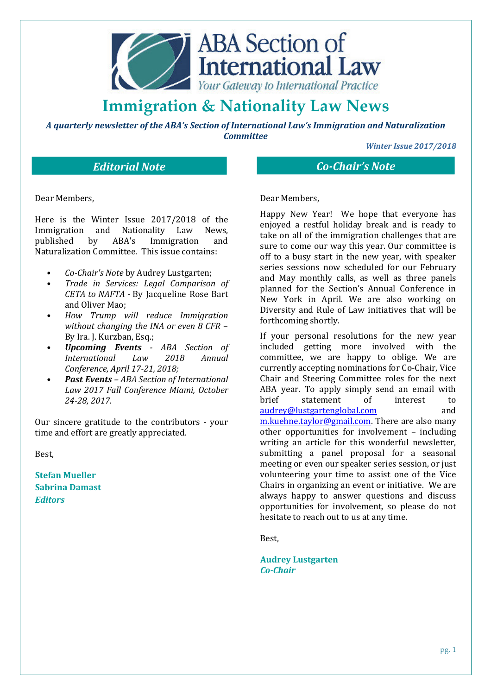

*A quarterly newsletter of the ABA's Section of International Law's Immigration and Naturalization Committee*

*Winter Issue 2017/2018* 

### *Editorial Note Co-Chair's Note*

Dear Members,

Here is the Winter Issue 2017/2018 of the Immigration and Nationality Law News, published by ABA's Immigration and Naturalization Committee. This issue contains:

- *Co-Chair's Note* by Audrey Lustgarten;
- *Trade in Services: Legal Comparison of CETA to NAFTA -* By Jacqueline Rose Bart and Oliver Mao;
- *How Trump will reduce Immigration without changing the INA or even 8 CFR* – By Ira. J. Kurzban, Esq.;
- *Upcoming Events ABA Section of International Law 2018 Annual Conference, April 17-21, 2018;*
- *Past Events ABA Section of International Law 2017 Fall Conference Miami, October 24-28, 2017.*

Our sincere gratitude to the contributors - your time and effort are greatly appreciated.

Best,

**Stefan Mueller** **Sabrina Damast** *Editors*

### Dear Members,

Happy New Year! We hope that everyone has enjoyed a restful holiday break and is ready to take on all of the immigration challenges that are sure to come our way this year. Our committee is off to a busy start in the new year, with speaker series sessions now scheduled for our February and May monthly calls, as well as three panels planned for the Section's Annual Conference in New York in April. We are also working on Diversity and Rule of Law initiatives that will be forthcoming shortly.

If your personal resolutions for the new year included getting more involved with the committee, we are happy to oblige. We are currently accepting nominations for Co-Chair, Vice Chair and Steering Committee roles for the next ABA year. To apply simply send an email with brief statement of interest to audrey@lustgartenglobal.com and m.kuehne.taylor@gmail.com. There are also many other opportunities for involvement – including writing an article for this wonderful newsletter. submitting a panel proposal for a seasonal meeting or even our speaker series session, or just volunteering your time to assist one of the Vice Chairs in organizing an event or initiative. We are always happy to answer questions and discuss opportunities for involvement, so please do not hesitate to reach out to us at any time.

Best,

**Audrey Lustgarten**  *Co-Chair*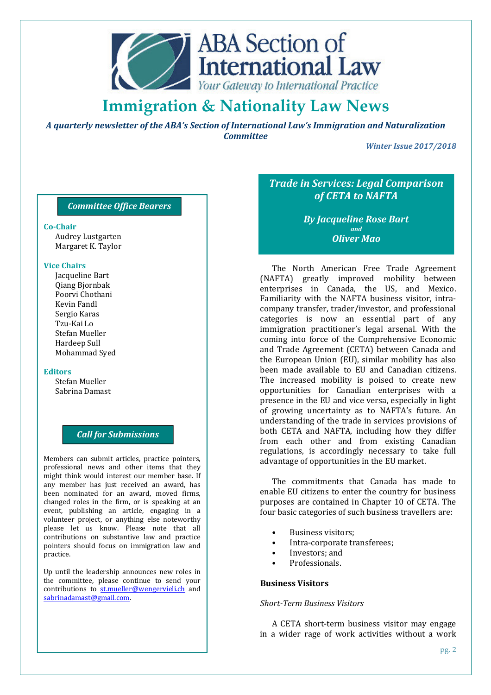

*A quarterly newsletter of the ABA's Section of International Law's Immigration and Naturalization Committee*

*Winter Issue 2017/2018* 

#### *Committee Office Bearers*

#### **Co-Chair**

Audrey Lustgarten Margaret K. Taylor

#### **Vice Chairs**

Jacqueline Bart Qiang Bjornbak Poorvi Chothani Kevin Fandl Sergio Karas Tzu-Kai Lo Stefan Mueller Hardeep Sull Mohammad Syed

#### **Editors**

Stefan Mueller Sabrina Damast

### *Call for Submissions*

Members can submit articles, practice pointers, professional news and other items that they might think would interest our member base. If any member has just received an award, has been nominated for an award, moved firms, changed roles in the firm, or is speaking at an event, publishing an article, engaging in a volunteer project, or anything else noteworthy please let us know. Please note that all contributions on substantive law and practice pointers should focus on immigration law and practice.

Up until the leadership announces new roles in the committee, please continue to send your contributions to st.mueller@wengervieli.ch and sabrinadamast@gmail.com.

### *Trade in Services: Legal Comparison of CETA to NAFTA*

### *By Jacqueline Rose Bart and Oliver Mao*

The North American Free Trade Agreement (NAFTA) greatly improved mobility between enterprises in Canada, the US, and Mexico. Familiarity with the NAFTA business visitor, intracompany transfer, trader/investor, and professional categories is now an essential part of any immigration practitioner's legal arsenal. With the coming into force of the Comprehensive Economic and Trade Agreement (CETA) between Canada and the European Union (EU), similar mobility has also been made available to EU and Canadian citizens. The increased mobility is poised to create new opportunities for Canadian enterprises with a presence in the EU and vice versa, especially in light of growing uncertainty as to NAFTA's future. An understanding of the trade in services provisions of both CETA and NAFTA, including how they differ from each other and from existing Canadian regulations, is accordingly necessary to take full advantage of opportunities in the EU market.

The commitments that Canada has made to enable EU citizens to enter the country for business purposes are contained in Chapter 10 of CETA. The four basic categories of such business travellers are:

- Business visitors;
- Intra-corporate transferees:
- Investors; and
- Professionals.

#### **Business Visitors**

#### *Short-Term Business Visitors*

A CETA short-term business visitor may engage in a wider rage of work activities without a work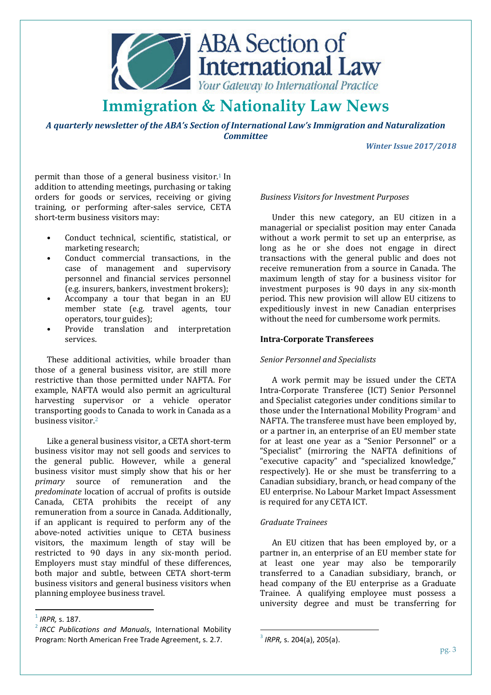

*A quarterly newsletter of the ABA's Section of International Law's Immigration and Naturalization Committee*

*Winter Issue 2017/2018* 

permit than those of a general business visitor.<sup>1</sup> In addition to attending meetings, purchasing or taking orders for goods or services, receiving or giving training, or performing after-sales service, CETA short-term business visitors may:

- Conduct technical, scientific, statistical, or marketing research;
- Conduct commercial transactions, in the case of management and supervisory personnel and financial services personnel (e.g. insurers, bankers, investment brokers);
- Accompany a tour that began in an EU member state (e.g. travel agents, tour operators, tour guides);
- Provide translation and interpretation services.

These additional activities, while broader than those of a general business visitor, are still more restrictive than those permitted under NAFTA. For example, NAFTA would also permit an agricultural harvesting supervisor or a vehicle operator transporting goods to Canada to work in Canada as a business visitor.<sup>2</sup>

Like a general business visitor, a CETA short-term business visitor may not sell goods and services to the general public. However, while a general business visitor must simply show that his or her *primary* source of remuneration and the *predominate* location of accrual of profits is outside Canada, CETA prohibits the receipt of any remuneration from a source in Canada. Additionally, if an applicant is required to perform any of the above-noted activities unique to CETA business visitors, the maximum length of stay will be restricted to 90 days in any six-month period. Employers must stay mindful of these differences, both major and subtle, between CETA short-term business visitors and general business visitors when planning employee business travel.

l

#### *Business Visitors for Investment Purposes*

Under this new category, an EU citizen in a managerial or specialist position may enter Canada without a work permit to set up an enterprise, as long as he or she does not engage in direct transactions with the general public and does not receive remuneration from a source in Canada. The maximum length of stay for a business visitor for investment purposes is 90 days in any six-month period. This new provision will allow EU citizens to expeditiously invest in new Canadian enterprises without the need for cumbersome work permits.

#### **Intra-Corporate Transferees**

#### *Senior Personnel and Specialists*

A work permit may be issued under the CETA Intra-Corporate Transferee (ICT) Senior Personnel and Specialist categories under conditions similar to those under the International Mobility Program<sup>3</sup> and NAFTA. The transferee must have been employed by, or a partner in, an enterprise of an EU member state for at least one year as a "Senior Personnel" or a "Specialist" (mirroring the NAFTA definitions of "executive capacity" and "specialized knowledge," respectively). He or she must be transferring to a Canadian subsidiary, branch, or head company of the EU enterprise. No Labour Market Impact Assessment is required for any CETA ICT.

#### *Graduate Trainees*

An EU citizen that has been employed by, or a partner in, an enterprise of an EU member state for at least one year may also be temporarily transferred to a Canadian subsidiary, branch, or head company of the EU enterprise as a Graduate Trainee. A qualifying employee must possess a university degree and must be transferring for

l

<sup>1</sup> *IRPR,* s. 187.

<sup>2</sup> *IRCC Publications and Manuals*, International Mobility Program: North American Free Trade Agreement, s. 2.7.

<sup>3</sup> *IRPR,* s. 204(a), 205(a).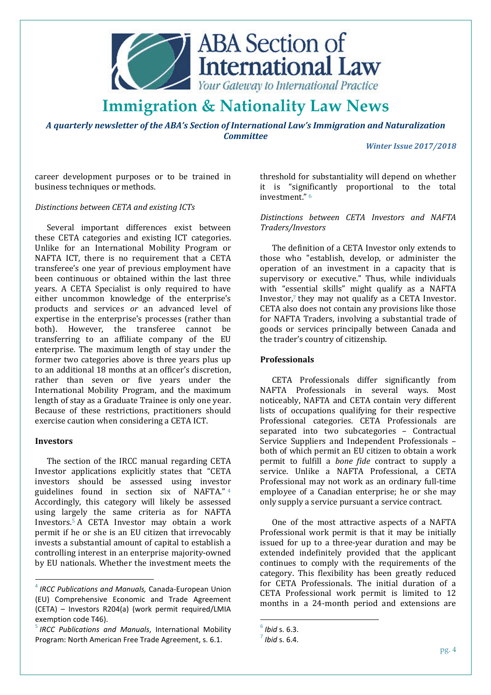

*A quarterly newsletter of the ABA's Section of International Law's Immigration and Naturalization Committee*

*Winter Issue 2017/2018* 

career development purposes or to be trained in business techniques or methods.

#### *Distinctions between CETA and existing ICTs*

Several important differences exist between these CETA categories and existing ICT categories. Unlike for an International Mobility Program or NAFTA ICT, there is no requirement that a CETA transferee's one year of previous employment have been continuous or obtained within the last three years. A CETA Specialist is only required to have either uncommon knowledge of the enterprise's products and services *or* an advanced level of expertise in the enterprise's processes (rather than both). However, the transferee cannot be transferring to an affiliate company of the EU enterprise. The maximum length of stay under the former two categories above is three years plus up to an additional 18 months at an officer's discretion, rather than seven or five years under the International Mobility Program, and the maximum length of stay as a Graduate Trainee is only one year. Because of these restrictions, practitioners should exercise caution when considering a CETA ICT.

#### **Investors**

 $\overline{a}$ 

The section of the IRCC manual regarding CETA Investor applications explicitly states that "CETA investors should be assessed using investor guidelines found in section six of NAFTA." <sup>4</sup> Accordingly, this category will likely be assessed using largely the same criteria as for NAFTA Investors.5 A CETA Investor may obtain a work permit if he or she is an EU citizen that irrevocably invests a substantial amount of capital to establish a controlling interest in an enterprise majority-owned by EU nationals. Whether the investment meets the

threshold for substantiality will depend on whether it is "significantly proportional to the total  $inv$ estment"  $6$ 

#### *Distinctions between CETA Investors and NAFTA Traders/Investors*

The definition of a CETA Investor only extends to those who "establish, develop, or administer the operation of an investment in a capacity that is supervisory or executive." Thus, while individuals with "essential skills" might qualify as a NAFTA Investor, $7$  they may not qualify as a CETA Investor. CETA also does not contain any provisions like those for NAFTA Traders, involving a substantial trade of goods or services principally between Canada and the trader's country of citizenship.

#### **Professionals**

CETA Professionals differ significantly from NAFTA Professionals in several ways. Most noticeably, NAFTA and CETA contain very different lists of occupations qualifying for their respective Professional categories. CETA Professionals are separated into two subcategories – Contractual Service Suppliers and Independent Professionals – both of which permit an EU citizen to obtain a work permit to fulfill a *bone fide* contract to supply a service. Unlike a NAFTA Professional, a CETA Professional may not work as an ordinary full-time employee of a Canadian enterprise; he or she may only supply a service pursuant a service contract.

One of the most attractive aspects of a NAFTA Professional work permit is that it may be initially issued for up to a three-year duration and may be extended indefinitely provided that the applicant continues to comply with the requirements of the category. This flexibility has been greatly reduced for CETA Professionals. The initial duration of a CETA Professional work permit is limited to 12 months in a 24-month period and extensions are

l

<sup>4</sup> *IRCC Publications and Manuals,* Canada-European Union (EU) Comprehensive Economic and Trade Agreement (CETA) – Investors R204(a) (work permit required/LMIA exemption code T46).

<sup>5</sup> *IRCC Publications and Manuals*, International Mobility Program: North American Free Trade Agreement, s. 6.1.

<sup>6</sup> *Ibid* s. 6.3.

 $^7$  *Ibid* s. 6.4.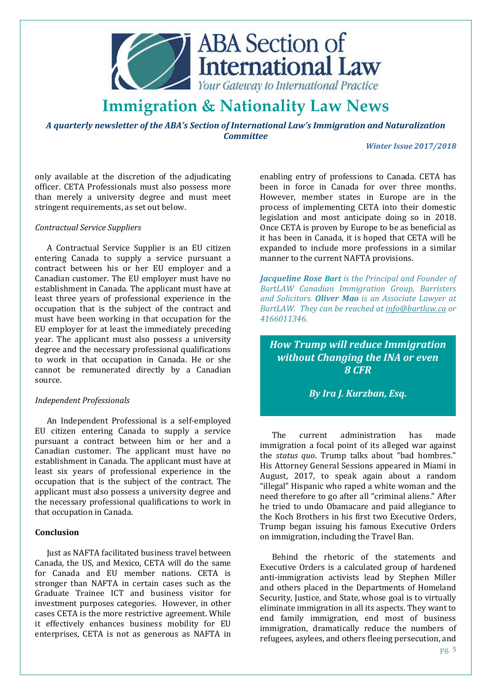

*A quarterly newsletter of the ABA's Section of International Law's Immigration and Naturalization Committee*

*Winter Issue 2017/2018* 

only available at the discretion of the adjudicating officer. CETA Professionals must also possess more than merely a university degree and must meet stringent requirements, as set out below.

#### *Contractual Service Suppliers*

A Contractual Service Supplier is an EU citizen entering Canada to supply a service pursuant a contract between his or her EU employer and a Canadian customer. The EU employer must have no establishment in Canada. The applicant must have at least three years of professional experience in the occupation that is the subject of the contract and must have been working in that occupation for the EU employer for at least the immediately preceding year. The applicant must also possess a university degree and the necessary professional qualifications to work in that occupation in Canada. He or she cannot be remunerated directly by a Canadian source.

#### *Independent Professionals*

An Independent Professional is a self-employed EU citizen entering Canada to supply a service pursuant a contract between him or her and a Canadian customer. The applicant must have no establishment in Canada. The applicant must have at least six years of professional experience in the occupation that is the subject of the contract. The applicant must also possess a university degree and the necessary professional qualifications to work in that occupation in Canada.

#### **Conclusion**

Just as NAFTA facilitated business travel between Canada, the US, and Mexico, CETA will do the same for Canada and EU member nations. CETA is stronger than NAFTA in certain cases such as the Graduate Trainee ICT and business visitor for investment purposes categories. However, in other cases CETA is the more restrictive agreement. While it effectively enhances business mobility for EU enterprises, CETA is not as generous as NAFTA in

enabling entry of professions to Canada. CETA has been in force in Canada for over three months. However, member states in Europe are in the process of implementing CETA into their domestic legislation and most anticipate doing so in 2018. Once CETA is proven by Europe to be as beneficial as it has been in Canada, it is hoped that CETA will be expanded to include more professions in a similar manner to the current NAFTA provisions.

*Jacqueline Rose Bart is the Principal and Founder of BartLAW Canadian Immigration Group, Barristers and Solicitors. Oliver Mao is an Associate Lawyer at BartLAW. They can be reached at info@bartlaw.ca or 4166011346.*

*How Trump will reduce Immigration without Changing the INA or even 8 CFR*

*By Ira J. Kurzban, Esq.* 

The current administration has made immigration a focal point of its alleged war against the *status quo*. Trump talks about "bad hombres." His Attorney General Sessions appeared in Miami in August, 2017, to speak again about a random "illegal" Hispanic who raped a white woman and the need therefore to go after all "criminal aliens." After he tried to undo Obamacare and paid allegiance to the Koch Brothers in his first two Executive Orders, Trump began issuing his famous Executive Orders on immigration, including the Travel Ban.

Behind the rhetoric of the statements and Executive Orders is a calculated group of hardened anti-immigration activists lead by Stephen Miller and others placed in the Departments of Homeland Security, Justice, and State, whose goal is to virtually eliminate immigration in all its aspects. They want to end family immigration, end most of business immigration, dramatically reduce the numbers of refugees, asylees, and others fleeing persecution, and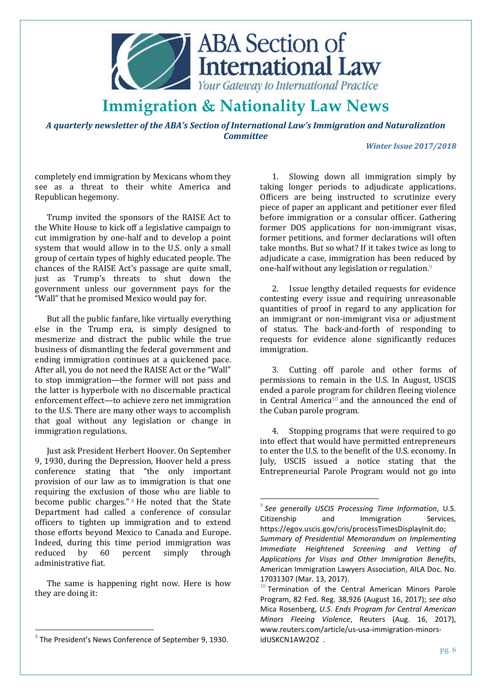

*A quarterly newsletter of the ABA's Section of International Law's Immigration and Naturalization Committee*

l

#### *Winter Issue 2017/2018*

completely end immigration by Mexicans whom they see as a threat to their white America and Republican hegemony.

Trump invited the sponsors of the RAISE Act to the White House to kick off a legislative campaign to cut immigration by one-half and to develop a point system that would allow in to the U.S. only a small group of certain types of highly educated people. The chances of the RAISE Act's passage are quite small, just as Trump's threats to shut down the government unless our government pays for the "Wall" that he promised Mexico would pay for.

But all the public fanfare, like virtually everything else in the Trump era, is simply designed to mesmerize and distract the public while the true business of dismantling the federal government and ending immigration continues at a quickened pace. After all, you do not need the RAISE Act or the "Wall" to stop immigration—the former will not pass and the latter is hyperbole with no discernable practical enforcement effect—to achieve zero net immigration to the U.S. There are many other ways to accomplish that goal without any legislation or change in immigration regulations.

Just ask President Herbert Hoover. On September 9, 1930, during the Depression, Hoover held a press conference stating that "the only important provision of our law as to immigration is that one requiring the exclusion of those who are liable to become public charges." 8 He noted that the State Department had called a conference of consular officers to tighten up immigration and to extend those efforts beyond Mexico to Canada and Europe. Indeed, during this time period immigration was reduced by 60 percent simply through administrative fiat.

The same is happening right now. Here is how they are doing it:

 $\overline{a}$ 

1. Slowing down all immigration simply by taking longer periods to adjudicate applications. Officers are being instructed to scrutinize every piece of paper an applicant and petitioner ever filed before immigration or a consular officer. Gathering former DOS applications for non-immigrant visas, former petitions, and former declarations will often take months. But so what? If it takes twice as long to adjudicate a case, immigration has been reduced by one-half without any legislation or regulation.<sup>9</sup>

2. Issue lengthy detailed requests for evidence contesting every issue and requiring unreasonable quantities of proof in regard to any application for an immigrant or non-immigrant visa or adjustment of status. The back-and-forth of responding to requests for evidence alone significantly reduces immigration.

3. Cutting off parole and other forms of permissions to remain in the U.S. In August, USCIS ended a parole program for children fleeing violence in Central America10 and the announced the end of the Cuban parole program.

4. Stopping programs that were required to go into effect that would have permitted entrepreneurs to enter the U.S. to the benefit of the U.S. economy. In July, USCIS issued a notice stating that the Entrepreneurial Parole Program would not go into

 $8$  The President's News Conference of September 9, 1930.

<sup>9</sup> *See generally USCIS Processing Time Information*, U.S. Citizenship and Immigration Services, https://egov.uscis.gov/cris/processTimesDisplayInit.do; *Summary of Presidential Memorandum on Implementing Immediate Heightened Screening and Vetting of Applications for Visas and Other Immigration Benefits*, American Immigration Lawyers Association, AILA Doc. No. 17031307 (Mar. 13, 2017).

 $10$  Termination of the Central American Minors Parole Program, 82 Fed. Reg. 38,926 (August 16, 2017); *see also*  Mica Rosenberg, *U.S. Ends Program for Central American Minors Fleeing Violence*, Reuters (Aug. 16, 2017), www.reuters.com/article/us-usa-immigration-minorsidUSKCN1AW2OZ .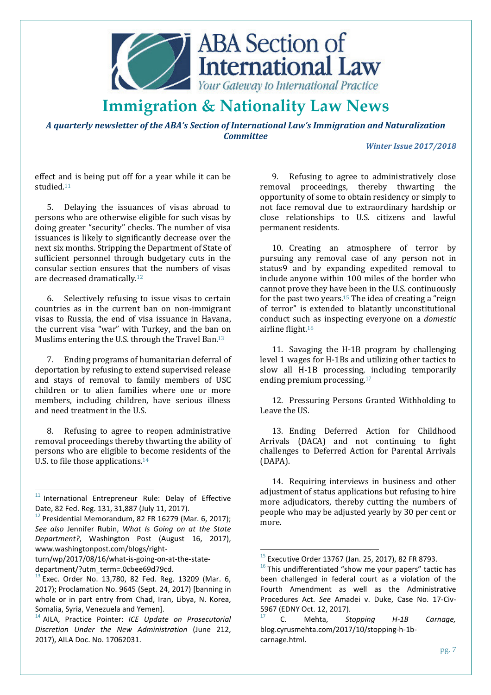

*A quarterly newsletter of the ABA's Section of International Law's Immigration and Naturalization Committee*

#### *Winter Issue 2017/2018*

effect and is being put off for a year while it can be studied.<sup>11</sup>

5. Delaying the issuances of visas abroad to persons who are otherwise eligible for such visas by doing greater "security" checks. The number of visa issuances is likely to significantly decrease over the next six months. Stripping the Department of State of sufficient personnel through budgetary cuts in the consular section ensures that the numbers of visas are decreased dramatically<sup>12</sup>

6. Selectively refusing to issue visas to certain countries as in the current ban on non-immigrant visas to Russia, the end of visa issuance in Havana, the current visa "war" with Turkey, and the ban on Muslims entering the U.S. through the Travel Ban.<sup>13</sup>

7. Ending programs of humanitarian deferral of deportation by refusing to extend supervised release and stays of removal to family members of USC children or to alien families where one or more members, including children, have serious illness and need treatment in the U.S.

8. Refusing to agree to reopen administrative removal proceedings thereby thwarting the ability of persons who are eligible to become residents of the U.S. to file those applications.<sup>14</sup>

 $\overline{a}$ 

turn/wp/2017/08/16/what-is-going-on-at-the-statedepartment/?utm\_term=.0cbee69d79cd.

9. Refusing to agree to administratively close removal proceedings, thereby thwarting the opportunity of some to obtain residency or simply to not face removal due to extraordinary hardship or close relationships to U.S. citizens and lawful permanent residents.

10. Creating an atmosphere of terror by pursuing any removal case of any person not in status9 and by expanding expedited removal to include anyone within 100 miles of the border who cannot prove they have been in the U.S. continuously for the past two years.<sup>15</sup> The idea of creating a "reign" of terror" is extended to blatantly unconstitutional conduct such as inspecting everyone on a *domestic*  airline flight.<sup>16</sup>

11. Savaging the H-1B program by challenging level 1 wages for H-1Bs and utilizing other tactics to slow all H-1B processing, including temporarily ending premium processing.<sup>17</sup>

12. Pressuring Persons Granted Withholding to Leave the US.

13. Ending Deferred Action for Childhood Arrivals (DACA) and not continuing to fight challenges to Deferred Action for Parental Arrivals (DAPA).

14. Requiring interviews in business and other adjustment of status applications but refusing to hire more adjudicators, thereby cutting the numbers of people who may be adjusted yearly by 30 per cent or more.

l

 $11$  International Entrepreneur Rule: Delay of Effective Date, 82 Fed. Reg. 131, 31,887 (July 11, 2017).

 $12$  Presidential Memorandum, 82 FR 16279 (Mar. 6, 2017); *See also* Jennifer Rubin, *What Is Going on at the State Department?*, Washington Post (August 16, 2017), www.washingtonpost.com/blogs/right-

 $^{13}$  Exec. Order No. 13,780, 82 Fed. Reg. 13209 (Mar. 6, 2017); Proclamation No. 9645 (Sept. 24, 2017) [banning in whole or in part entry from Chad, Iran, Libya, N. Korea, Somalia, Syria, Venezuela and Yemen].

<sup>14</sup> AILA, Practice Pointer: *ICE Update on Prosecutorial Discretion Under the New Administration* (June 212, 2017), AILA Doc. No. 17062031.

 $15$  Executive Order 13767 (Jan. 25, 2017), 82 FR 8793.

 $^{16}$  This undifferentiated "show me your papers" tactic has been challenged in federal court as a violation of the Fourth Amendment as well as the Administrative Procedures Act. *See* Amadei v. Duke, Case No. 17-Civ-5967 (EDNY Oct. 12, 2017).

<sup>17</sup> C. Mehta, *Stopping H-1B Carnage,*  blog.cyrusmehta.com/2017/10/stopping-h-1bcarnage.html.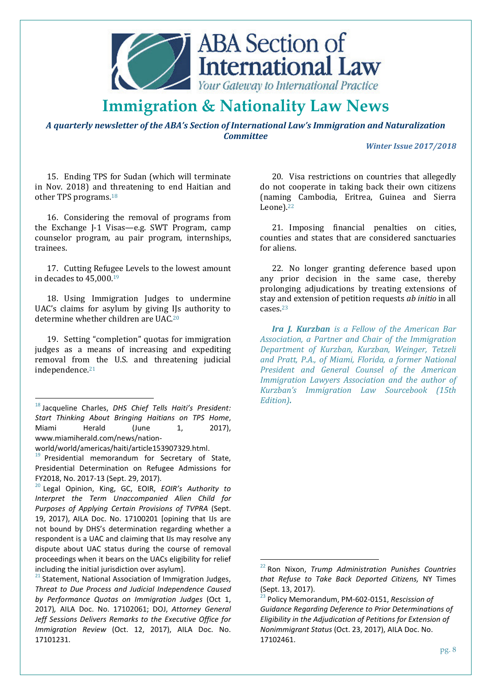

*A quarterly newsletter of the ABA's Section of International Law's Immigration and Naturalization Committee*

l

*Winter Issue 2017/2018* 

15. Ending TPS for Sudan (which will terminate in Nov. 2018) and threatening to end Haitian and other TPS programs.<sup>18</sup>

16. Considering the removal of programs from the Exchange J-1 Visas—e.g. SWT Program, camp counselor program, au pair program, internships, trainees.

17. Cutting Refugee Levels to the lowest amount in decades to 45,000.<sup>19</sup>

18. Using Immigration Judges to undermine UAC's claims for asylum by giving IJs authority to determine whether children are UAC.<sup>20</sup>

19. Setting "completion" quotas for immigration judges as a means of increasing and expediting removal from the U.S. and threatening judicial independence.<sup>21</sup>

<sup>18</sup> Jacqueline Charles, *DHS Chief Tells Haiti's President: Start Thinking About Bringing Haitians on TPS Home*, Miami Herald (June 1, 2017), www.miamiherald.com/news/nation-

world/world/americas/haiti/article153907329.html.

 $\overline{a}$ 

 $19$  Presidential memorandum for Secretary of State, Presidential Determination on Refugee Admissions for FY2018, No. 2017-13 (Sept. 29, 2017).

<sup>20</sup> Legal Opinion, King, GC, EOIR, *EOIR's Authority to Interpret the Term Unaccompanied Alien Child for Purposes of Applying Certain Provisions of TVPRA* (Sept. 19, 2017), AILA Doc. No. 17100201 [opining that IJs are not bound by DHS's determination regarding whether a respondent is a UAC and claiming that IJs may resolve any dispute about UAC status during the course of removal proceedings when it bears on the UACs eligibility for relief including the initial jurisdiction over asylum].

<sup>21</sup> Statement, National Association of Immigration Judges, *Threat to Due Process and Judicial Independence Caused by Performance Quotas on Immigration Judges* (Oct 1, 2017)*,* AILA Doc. No. 17102061; DOJ, *Attorney General Jeff Sessions Delivers Remarks to the Executive Office for Immigration Review* (Oct. 12, 2017), AILA Doc. No. 17101231.

20. Visa restrictions on countries that allegedly do not cooperate in taking back their own citizens (naming Cambodia, Eritrea, Guinea and Sierra Leone).<sup>22</sup>

21. Imposing financial penalties on cities, counties and states that are considered sanctuaries for aliens.

22. No longer granting deference based upon any prior decision in the same case, thereby prolonging adjudications by treating extensions of stay and extension of petition requests *ab initio* in all cases.<sup>23</sup>

*Ira J. Kurzban is a Fellow of the American Bar Association, a Partner and Chair of the Immigration Department of Kurzban, Kurzban, Weinger, Tetzeli and Pratt, P.A., of Miami, Florida, a former National President and General Counsel of the American Immigration Lawyers Association and the author of Kurzban's Immigration Law Sourcebook (15th Edition).*

<sup>22</sup> Ron Nixon, *Trump Administration Punishes Countries that Refuse to Take Back Deported Citizens,* NY Times (Sept. 13, 2017).

<sup>23</sup> Policy Memorandum, PM-602-0151, *Rescission of Guidance Regarding Deference to Prior Determinations of Eligibility in the Adjudication of Petitions for Extension of Nonimmigrant Status* (Oct. 23, 2017), AILA Doc. No. 17102461.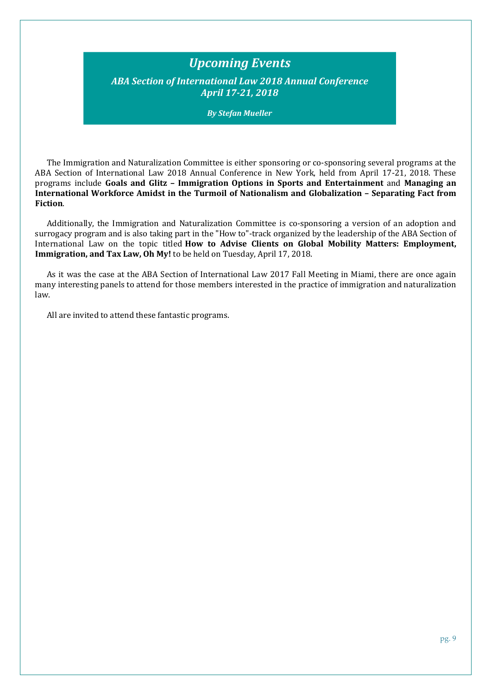### *Upcoming Events*

*ABA Section of International Law 2018 Annual Conference April 17-21, 2018* 

*By Stefan Mueller* 

The Immigration and Naturalization Committee is either sponsoring or co-sponsoring several programs at the ABA Section of International Law 2018 Annual Conference in New York, held from April 17-21, 2018. These programs include **Goals and Glitz – Immigration Options in Sports and Entertainment** and **Managing an International Workforce Amidst in the Turmoil of Nationalism and Globalization – Separating Fact from Fiction**.

Additionally, the Immigration and Naturalization Committee is co-sponsoring a version of an adoption and surrogacy program and is also taking part in the "How to"-track organized by the leadership of the ABA Section of International Law on the topic titled **How to Advise Clients on Global Mobility Matters: Employment, Immigration, and Tax Law, Oh My!** to be held on Tuesday, April 17, 2018.

As it was the case at the ABA Section of International Law 2017 Fall Meeting in Miami, there are once again many interesting panels to attend for those members interested in the practice of immigration and naturalization law.

All are invited to attend these fantastic programs.